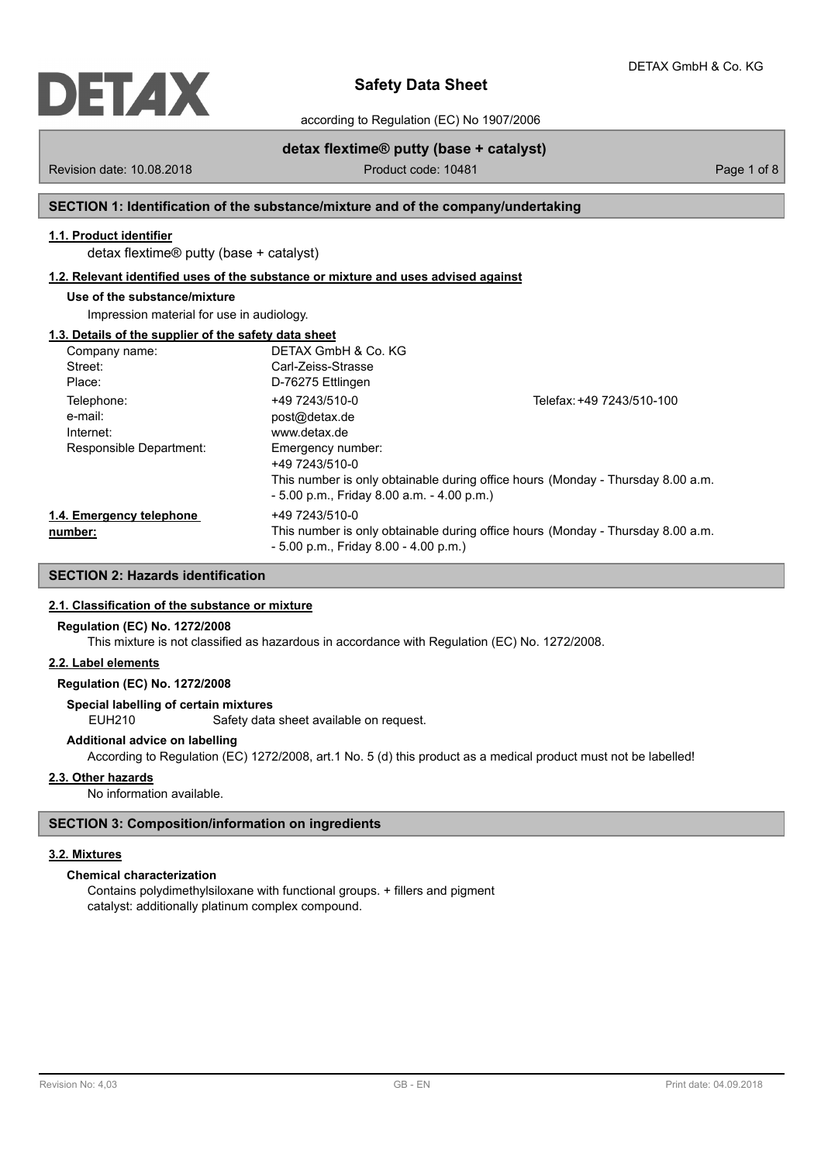

according to Regulation (EC) No 1907/2006

Revision date: 10.08.2018 **Product code: 10481** Product code: 10481 **Page 1 of 8** 

**detax flextime® putty (base + catalyst)**

# **SECTION 1: Identification of the substance/mixture and of the company/undertaking**

# **1.1. Product identifier**

detax flextime® putty (base + catalyst)

# **1.2. Relevant identified uses of the substance or mixture and uses advised against**

# **Use of the substance/mixture**

Impression material for use in audiology.

# **1.3. Details of the supplier of the safety data sheet**

| Company name:            | DETAX GmbH & Co. KG                          |                                                                                 |
|--------------------------|----------------------------------------------|---------------------------------------------------------------------------------|
| Street:                  | Carl-Zeiss-Strasse                           |                                                                                 |
| Place:                   | D-76275 Ettlingen                            |                                                                                 |
| Telephone:               | +49 7243/510-0                               | Telefax: +49 7243/510-100                                                       |
| e-mail:                  | post@detax.de                                |                                                                                 |
| Internet:                | www.detax.de                                 |                                                                                 |
| Responsible Department:  | Emergency number:<br>+49 7243/510-0          |                                                                                 |
|                          | $-5.00$ p.m., Friday 8.00 a.m. $-4.00$ p.m.) | This number is only obtainable during office hours (Monday - Thursday 8.00 a.m. |
| 1.4. Emergency telephone | +49 7243/510-0                               |                                                                                 |
| number:                  | $-5.00$ p.m., Friday 8.00 $-4.00$ p.m.)      | This number is only obtainable during office hours (Monday - Thursday 8.00 a.m. |

# **SECTION 2: Hazards identification**

# **2.1. Classification of the substance or mixture**

## **Regulation (EC) No. 1272/2008**

This mixture is not classified as hazardous in accordance with Regulation (EC) No. 1272/2008.

# **2.2. Label elements**

# **Regulation (EC) No. 1272/2008**

**Special labelling of certain mixtures**

EUH210 Safety data sheet available on request.

# **Additional advice on labelling**

According to Regulation (EC) 1272/2008, art.1 No. 5 (d) this product as a medical product must not be labelled!

# **2.3. Other hazards**

No information available.

# **SECTION 3: Composition/information on ingredients**

# **3.2. Mixtures**

# **Chemical characterization**

Contains polydimethylsiloxane with functional groups. + fillers and pigment catalyst: additionally platinum complex compound.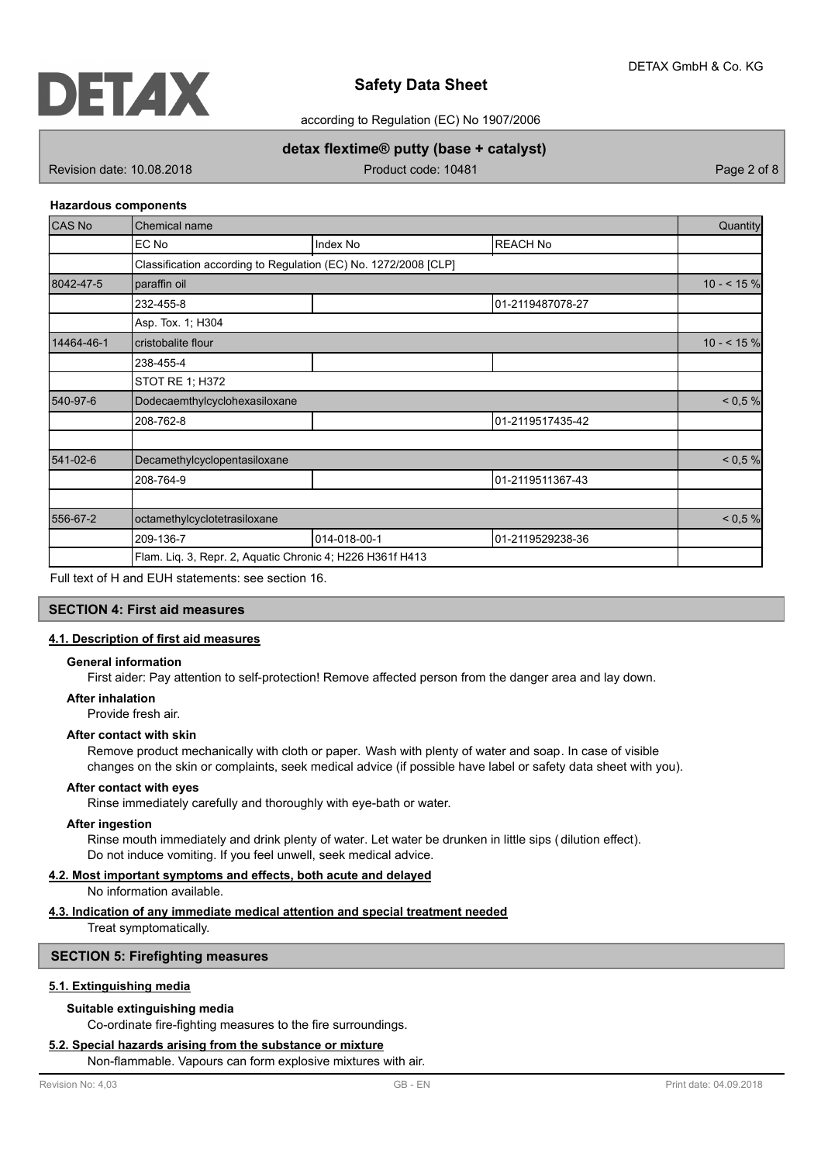

according to Regulation (EC) No 1907/2006

# **detax flextime® putty (base + catalyst)**

Revision date: 10.08.2018 **Product code: 10481** Product code: 10481

## **Hazardous components**

| CAS No     | Chemical name                                                   |              |                  |           |  |
|------------|-----------------------------------------------------------------|--------------|------------------|-----------|--|
|            | EC No                                                           | Index No     | <b>REACH No</b>  |           |  |
|            | Classification according to Regulation (EC) No. 1272/2008 [CLP] |              |                  |           |  |
| 8042-47-5  | paraffin oil                                                    |              |                  |           |  |
|            | 232-455-8                                                       |              | 01-2119487078-27 |           |  |
|            | Asp. Tox. 1; H304                                               |              |                  |           |  |
| 14464-46-1 | cristobalite flour                                              |              |                  | $10 - 59$ |  |
|            | 238-455-4                                                       |              |                  |           |  |
|            | STOT RE 1; H372                                                 |              |                  |           |  |
| 540-97-6   | Dodecaemthylcyclohexasiloxane                                   |              |                  |           |  |
|            | 208-762-8                                                       |              | 01-2119517435-42 |           |  |
| 541-02-6   | Decamethylcyclopentasiloxane                                    |              |                  | < 0.5 %   |  |
|            | 208-764-9                                                       |              | 01-2119511367-43 |           |  |
| 556-67-2   | octamethylcyclotetrasiloxane                                    |              |                  |           |  |
|            | 209-136-7                                                       | 014-018-00-1 | 01-2119529238-36 |           |  |
|            | Flam. Liq. 3, Repr. 2, Aquatic Chronic 4; H226 H361f H413       |              |                  |           |  |

Full text of H and EUH statements: see section 16.

# **SECTION 4: First aid measures**

# **4.1. Description of first aid measures**

# **General information**

First aider: Pay attention to self-protection! Remove affected person from the danger area and lay down.

#### **After inhalation**

Provide fresh air.

## **After contact with skin**

Remove product mechanically with cloth or paper. Wash with plenty of water and soap. In case of visible changes on the skin or complaints, seek medical advice (if possible have label or safety data sheet with you).

## **After contact with eyes**

Rinse immediately carefully and thoroughly with eye-bath or water.

#### **After ingestion**

Rinse mouth immediately and drink plenty of water. Let water be drunken in little sips ( dilution effect). Do not induce vomiting. If you feel unwell, seek medical advice.

# **4.2. Most important symptoms and effects, both acute and delayed**

No information available.

# **4.3. Indication of any immediate medical attention and special treatment needed**

Treat symptomatically.

## **SECTION 5: Firefighting measures**

## **5.1. Extinguishing media**

# **Suitable extinguishing media**

Co-ordinate fire-fighting measures to the fire surroundings.

## **5.2. Special hazards arising from the substance or mixture**

Non-flammable. Vapours can form explosive mixtures with air.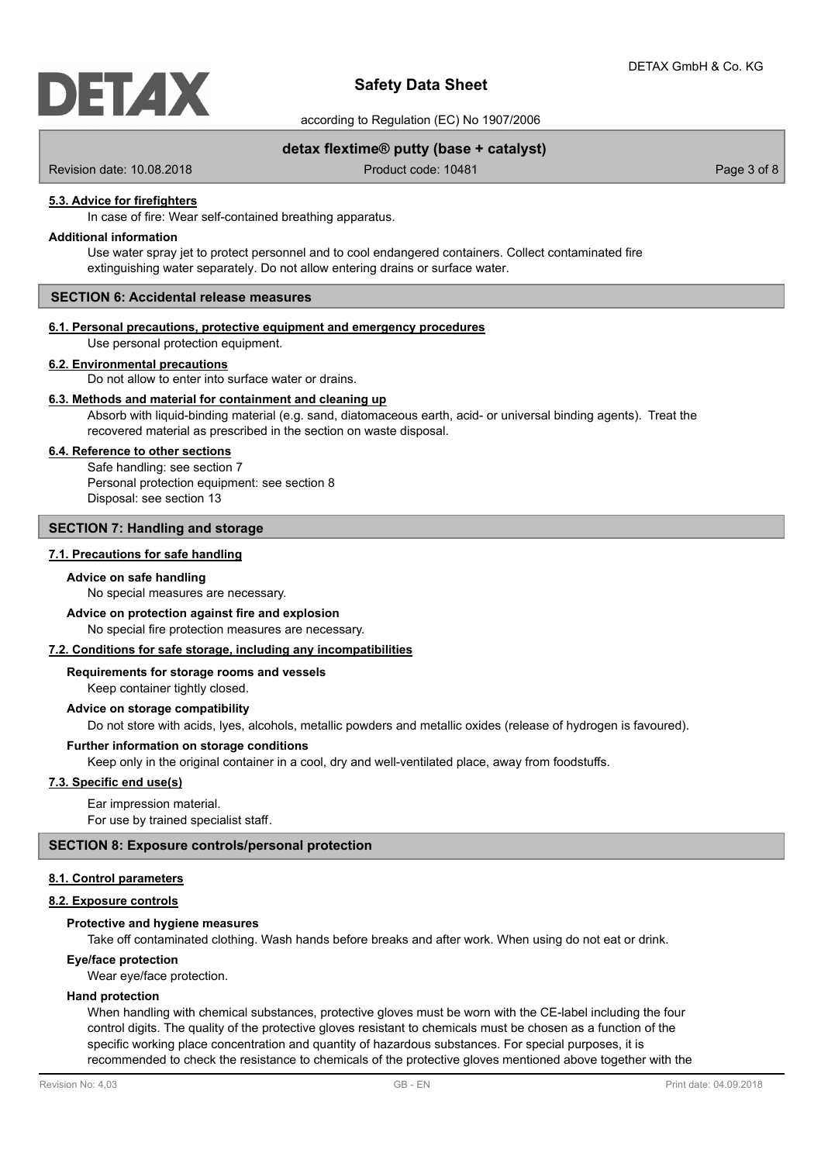

according to Regulation (EC) No 1907/2006

# **detax flextime® putty (base + catalyst)**

Revision date: 10.08.2018 **Product code: 10481** Product code: 10481

## **5.3. Advice for firefighters**

In case of fire: Wear self-contained breathing apparatus.

## **Additional information**

Use water spray jet to protect personnel and to cool endangered containers. Collect contaminated fire extinguishing water separately. Do not allow entering drains or surface water.

# **SECTION 6: Accidental release measures**

# **6.1. Personal precautions, protective equipment and emergency procedures**

Use personal protection equipment.

#### **6.2. Environmental precautions**

Do not allow to enter into surface water or drains.

## **6.3. Methods and material for containment and cleaning up**

Absorb with liquid-binding material (e.g. sand, diatomaceous earth, acid- or universal binding agents). Treat the recovered material as prescribed in the section on waste disposal.

#### **6.4. Reference to other sections**

Safe handling: see section 7 Personal protection equipment: see section 8 Disposal: see section 13

## **SECTION 7: Handling and storage**

#### **7.1. Precautions for safe handling**

#### **Advice on safe handling**

No special measures are necessary.

#### **Advice on protection against fire and explosion**

No special fire protection measures are necessary.

#### **7.2. Conditions for safe storage, including any incompatibilities**

Keep container tightly closed. **Requirements for storage rooms and vessels**

## **Advice on storage compatibility**

Do not store with acids, lyes, alcohols, metallic powders and metallic oxides (release of hydrogen is favoured).

## **Further information on storage conditions**

Keep only in the original container in a cool, dry and well-ventilated place, away from foodstuffs.

## **7.3. Specific end use(s)**

Ear impression material. For use by trained specialist staff.

## **SECTION 8: Exposure controls/personal protection**

#### **8.1. Control parameters**

# **8.2. Exposure controls**

## **Protective and hygiene measures**

Take off contaminated clothing. Wash hands before breaks and after work. When using do not eat or drink.

# **Eye/face protection**

Wear eye/face protection.

## **Hand protection**

When handling with chemical substances, protective gloves must be worn with the CE-label including the four control digits. The quality of the protective gloves resistant to chemicals must be chosen as a function of the specific working place concentration and quantity of hazardous substances. For special purposes, it is recommended to check the resistance to chemicals of the protective gloves mentioned above together with the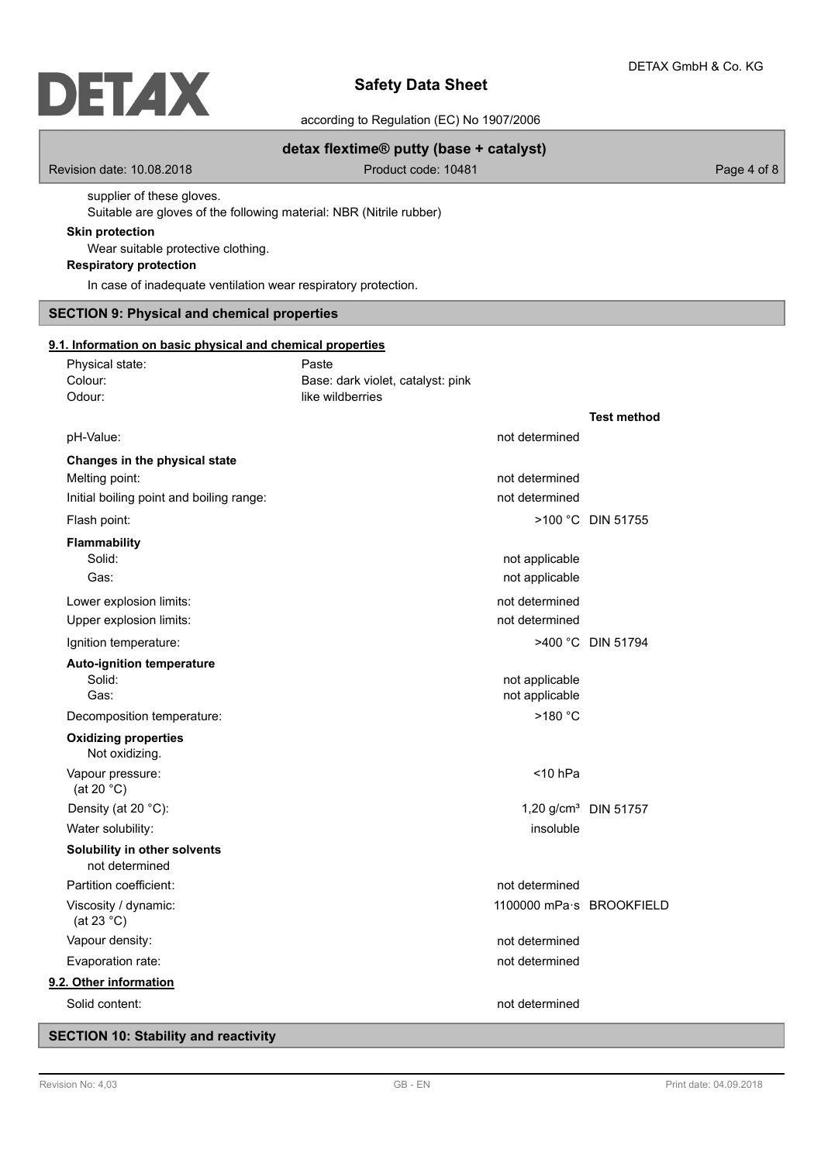# **DETAX**

# **Safety Data Sheet**

according to Regulation (EC) No 1907/2006

# **detax flextime® putty (base + catalyst)**

Revision date: 10.08.2018 **Product code: 10481** Product code: 10481

supplier of these gloves.

Suitable are gloves of the following material: NBR (Nitrile rubber)

# **Skin protection**

Wear suitable protective clothing.

# **Respiratory protection**

In case of inadequate ventilation wear respiratory protection.

# **SECTION 9: Physical and chemical properties**

## **9.1. Information on basic physical and chemical properties**

| Physical state:                                | Paste                                                 |                                  |
|------------------------------------------------|-------------------------------------------------------|----------------------------------|
| Colour:<br>Odour:                              | Base: dark violet, catalyst: pink<br>like wildberries |                                  |
|                                                |                                                       | <b>Test method</b>               |
| pH-Value:                                      | not determined                                        |                                  |
| Changes in the physical state                  |                                                       |                                  |
| Melting point:                                 | not determined                                        |                                  |
| Initial boiling point and boiling range:       | not determined                                        |                                  |
| Flash point:                                   |                                                       | >100 °C DIN 51755                |
| <b>Flammability</b>                            |                                                       |                                  |
| Solid:                                         | not applicable                                        |                                  |
| Gas:                                           | not applicable                                        |                                  |
| Lower explosion limits:                        | not determined                                        |                                  |
| Upper explosion limits:                        | not determined                                        |                                  |
| Ignition temperature:                          |                                                       | >400 °C DIN 51794                |
| <b>Auto-ignition temperature</b>               |                                                       |                                  |
| Solid:                                         | not applicable                                        |                                  |
| Gas:                                           | not applicable                                        |                                  |
| Decomposition temperature:                     | >180 °C                                               |                                  |
| <b>Oxidizing properties</b><br>Not oxidizing.  |                                                       |                                  |
| Vapour pressure:<br>(at 20 $°C$ )              | $<$ 10 hPa                                            |                                  |
| Density (at 20 °C):                            |                                                       | 1,20 g/cm <sup>3</sup> DIN 51757 |
| Water solubility:                              | insoluble                                             |                                  |
| Solubility in other solvents<br>not determined |                                                       |                                  |
| Partition coefficient:                         | not determined                                        |                                  |
| Viscosity / dynamic:<br>(at 23 $^{\circ}$ C)   | 1100000 mPa·s BROOKFIELD                              |                                  |
| Vapour density:                                | not determined                                        |                                  |
| Evaporation rate:                              | not determined                                        |                                  |
| 9.2. Other information                         |                                                       |                                  |
| Solid content:                                 | not determined                                        |                                  |

# **SECTION 10: Stability and reactivity**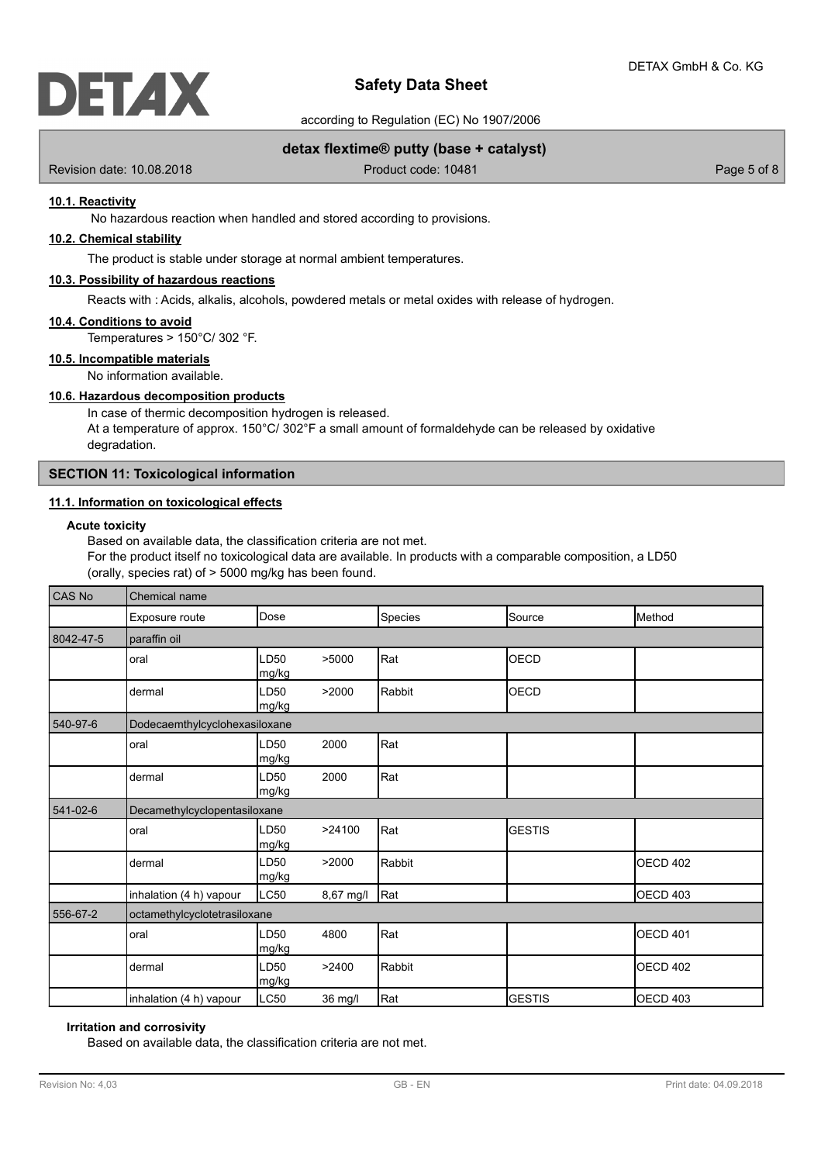

according to Regulation (EC) No 1907/2006

# **detax flextime® putty (base + catalyst)**

Revision date: 10.08.2018 **Product code: 10481** Product code: 10481

## **10.1. Reactivity**

No hazardous reaction when handled and stored according to provisions.

# **10.2. Chemical stability**

The product is stable under storage at normal ambient temperatures.

# **10.3. Possibility of hazardous reactions**

Reacts with : Acids, alkalis, alcohols, powdered metals or metal oxides with release of hydrogen.

#### **10.4. Conditions to avoid**

Temperatures > 150°C/ 302 °F.

# **10.5. Incompatible materials**

No information available.

# **10.6. Hazardous decomposition products**

In case of thermic decomposition hydrogen is released. At a temperature of approx.  $150^{\circ}$ C/  $302^{\circ}$ F a small amount of formaldehyde can be released by oxidative degradation.

## **SECTION 11: Toxicological information**

## **11.1. Information on toxicological effects**

# **Acute toxicity**

Based on available data, the classification criteria are not met. For the product itself no toxicological data are available. In products with a comparable composition, a LD50 (orally, species rat) of > 5000 mg/kg has been found.

| CAS No    | Chemical name                 |               |           |         |               |                   |
|-----------|-------------------------------|---------------|-----------|---------|---------------|-------------------|
|           | Exposure route                | Dose          |           | Species | Source        | <b>Method</b>     |
| 8042-47-5 | paraffin oil                  |               |           |         |               |                   |
|           | oral                          | LD50<br>mg/kg | >5000     | Rat     | <b>OECD</b>   |                   |
|           | dermal                        | LD50<br>mg/kg | >2000     | Rabbit  | <b>OECD</b>   |                   |
| 540-97-6  | Dodecaemthylcyclohexasiloxane |               |           |         |               |                   |
|           | oral                          | LD50<br>mg/kg | 2000      | Rat     |               |                   |
|           | dermal                        | LD50<br>mg/kg | 2000      | Rat     |               |                   |
| 541-02-6  | Decamethylcyclopentasiloxane  |               |           |         |               |                   |
|           | oral                          | LD50<br>mg/kg | >24100    | Rat     | <b>GESTIS</b> |                   |
|           | dermal                        | LD50<br>mg/kg | >2000     | Rabbit  |               | <b>OECD 402</b>   |
|           | inhalation (4 h) vapour       | LC50          | 8,67 mg/l | Rat     |               | <b>I</b> OECD 403 |
| 556-67-2  | octamethylcyclotetrasiloxane  |               |           |         |               |                   |
|           | oral                          | LD50<br>mg/kg | 4800      | Rat     |               | <b>OECD 401</b>   |
|           | dermal                        | LD50<br>mg/kg | >2400     | Rabbit  |               | <b>OECD 402</b>   |
|           | inhalation (4 h) vapour       | LC50          | 36 mg/l   | Rat     | <b>GESTIS</b> | OECD 403          |

## **Irritation and corrosivity**

Based on available data, the classification criteria are not met.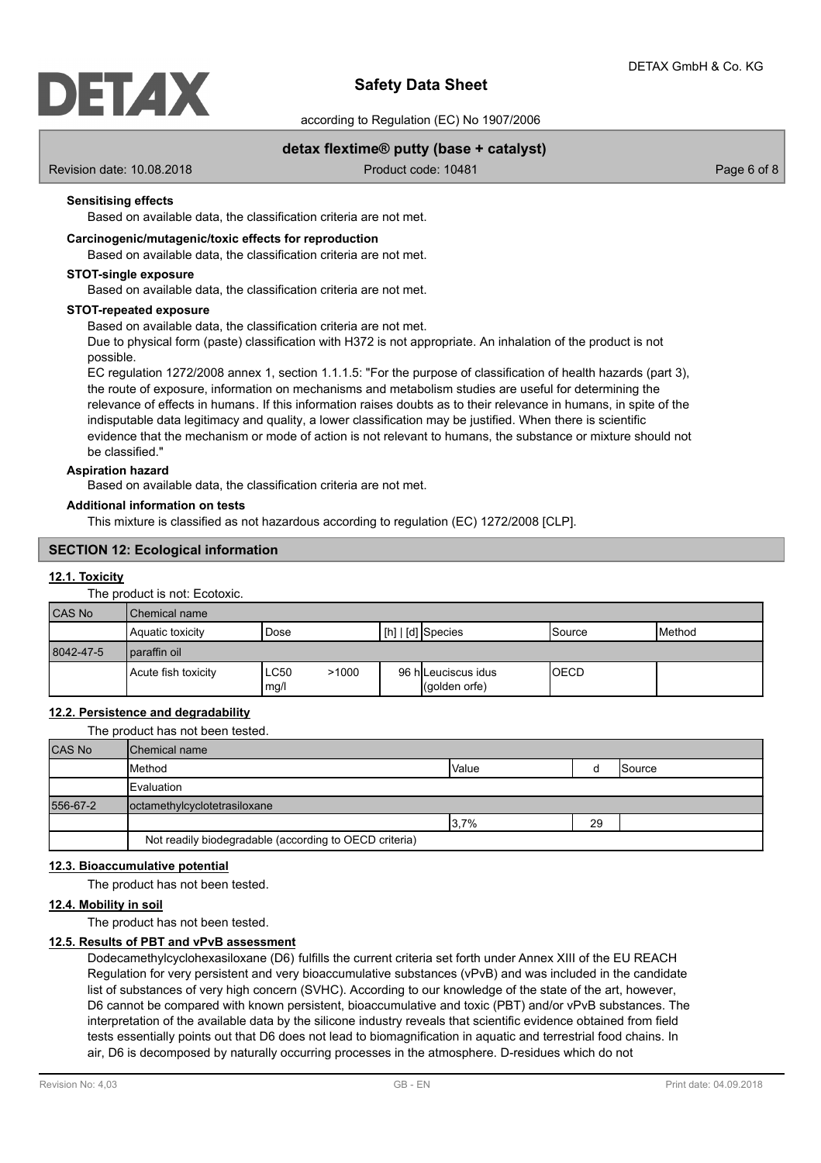

according to Regulation (EC) No 1907/2006

# **detax flextime® putty (base + catalyst)**

Revision date: 10.08.2018 **Product code: 10481** Product code: 10481

## **Sensitising effects**

Based on available data, the classification criteria are not met.

## **Carcinogenic/mutagenic/toxic effects for reproduction**

Based on available data, the classification criteria are not met.

#### **STOT-single exposure**

Based on available data, the classification criteria are not met.

#### **STOT-repeated exposure**

Based on available data, the classification criteria are not met.

Due to physical form (paste) classification with H372 is not appropriate. An inhalation of the product is not possible.

EC regulation 1272/2008 annex 1, section 1.1.1.5: "For the purpose of classification of health hazards (part 3), the route of exposure, information on mechanisms and metabolism studies are useful for determining the relevance of effects in humans. If this information raises doubts as to their relevance in humans, in spite of the indisputable data legitimacy and quality, a lower classification may be justified. When there is scientific evidence that the mechanism or mode of action is not relevant to humans, the substance or mixture should not be classified."

## **Aspiration hazard**

Based on available data, the classification criteria are not met.

#### **Additional information on tests**

This mixture is classified as not hazardous according to regulation (EC) 1272/2008 [CLP].

# **SECTION 12: Ecological information**

#### **12.1. Toxicity**

The product is not: Ecotoxic.

| <b>CAS No</b> | l Chemical name     |                              |                                      |             |                 |  |
|---------------|---------------------|------------------------------|--------------------------------------|-------------|-----------------|--|
|               | Aquatic toxicity    | Dose                         | $\lfloor$ [h] $\lfloor$ [d] Species  | Source      | <b>I</b> Method |  |
| 8042-47-5     | paraffin oil        |                              |                                      |             |                 |  |
|               | Acute fish toxicity | <b>LC50</b><br>>1000<br>mg/l | 96 h Leuciscus idus<br>(qolden orfe) | <b>OECD</b> |                 |  |

## **12.2. Persistence and degradability**

The product has not been tested.

| <b>CAS No</b> | <b>IChemical name</b>                                  |              |    |        |
|---------------|--------------------------------------------------------|--------------|----|--------|
|               | Method                                                 | <b>Value</b> |    | Source |
|               | <b>IEvaluation</b>                                     |              |    |        |
| 556-67-2      | octamethylcyclotetrasiloxane                           |              |    |        |
|               |                                                        | 3,7%         | 29 |        |
|               | Not readily biodegradable (according to OECD criteria) |              |    |        |

## **12.3. Bioaccumulative potential**

The product has not been tested.

## **12.4. Mobility in soil**

The product has not been tested.

## **12.5. Results of PBT and vPvB assessment**

Dodecamethylcyclohexasiloxane (D6) fulfills the current criteria set forth under Annex XIII of the EU REACH Regulation for very persistent and very bioaccumulative substances (vPvB) and was included in the candidate list of substances of very high concern (SVHC). According to our knowledge of the state of the art, however, D6 cannot be compared with known persistent, bioaccumulative and toxic (PBT) and/or vPvB substances. The interpretation of the available data by the silicone industry reveals that scientific evidence obtained from field tests essentially points out that D6 does not lead to biomagnification in aquatic and terrestrial food chains. In air, D6 is decomposed by naturally occurring processes in the atmosphere. D-residues which do not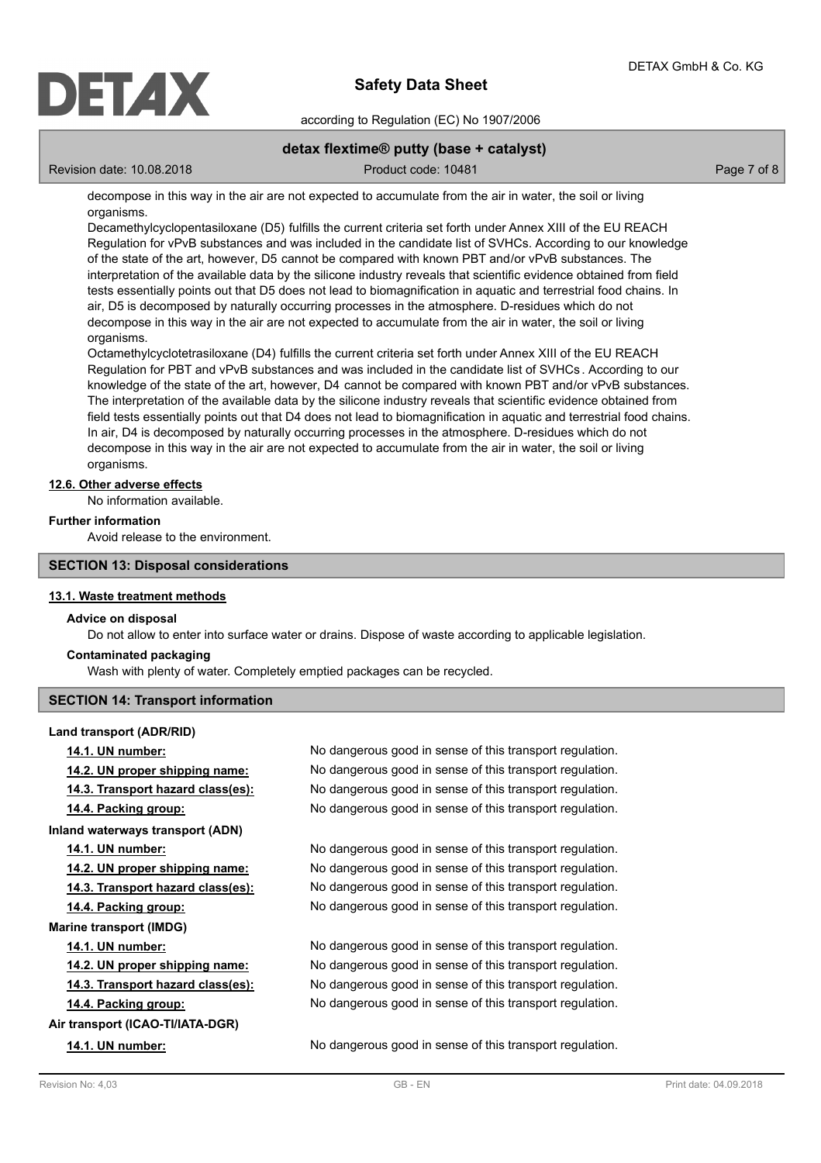

according to Regulation (EC) No 1907/2006

# **detax flextime® putty (base + catalyst)**

Revision date: 10.08.2018 Product code: 10481 Product code: 10481

decompose in this way in the air are not expected to accumulate from the air in water, the soil or living organisms.

Decamethylcyclopentasiloxane (D5) fulfills the current criteria set forth under Annex XIII of the EU REACH Regulation for vPvB substances and was included in the candidate list of SVHCs. According to our knowledge of the state of the art, however, D5 cannot be compared with known PBT and/or vPvB substances. The interpretation of the available data by the silicone industry reveals that scientific evidence obtained from field tests essentially points out that D5 does not lead to biomagnification in aquatic and terrestrial food chains. In air, D5 is decomposed by naturally occurring processes in the atmosphere. D-residues which do not decompose in this way in the air are not expected to accumulate from the air in water, the soil or living organisms.

Octamethylcyclotetrasiloxane (D4) fulfills the current criteria set forth under Annex XIII of the EU REACH Regulation for PBT and vPvB substances and was included in the candidate list of SVHCs . According to our knowledge of the state of the art, however, D4 cannot be compared with known PBT and/or vPvB substances. The interpretation of the available data by the silicone industry reveals that scientific evidence obtained from field tests essentially points out that D4 does not lead to biomagnification in aquatic and terrestrial food chains. In air, D4 is decomposed by naturally occurring processes in the atmosphere. D-residues which do not decompose in this way in the air are not expected to accumulate from the air in water, the soil or living organisms.

## **12.6. Other adverse effects**

No information available.

## **Further information**

Avoid release to the environment.

## **SECTION 13: Disposal considerations**

## **13.1. Waste treatment methods**

## **Advice on disposal**

Do not allow to enter into surface water or drains. Dispose of waste according to applicable legislation.

## **Contaminated packaging**

Wash with plenty of water. Completely emptied packages can be recycled.

# **SECTION 14: Transport information**

**Land transport (ADR/RID) Inland waterways transport (ADN) Marine transport (IMDG) Air transport (ICAO-TI/IATA-DGR)**

**14.1. UN number:** No dangerous good in sense of this transport regulation. **14.2. UN proper shipping name:** No dangerous good in sense of this transport regulation. **14.3. Transport hazard class(es):** No dangerous good in sense of this transport regulation. **14.4. Packing group:** No dangerous good in sense of this transport regulation.

**14.1. UN number:** No dangerous good in sense of this transport regulation. **14.2. UN proper shipping name:** No dangerous good in sense of this transport regulation. **14.3. Transport hazard class(es):** No dangerous good in sense of this transport regulation. **14.4. Packing group:** No dangerous good in sense of this transport regulation.

**14.1. UN number:** No dangerous good in sense of this transport regulation. **14.2. UN proper shipping name:** No dangerous good in sense of this transport regulation. **14.3. Transport hazard class(es):** No dangerous good in sense of this transport regulation. **14.4. Packing group:** No dangerous good in sense of this transport regulation.

**14.1. UN number:** No dangerous good in sense of this transport regulation.